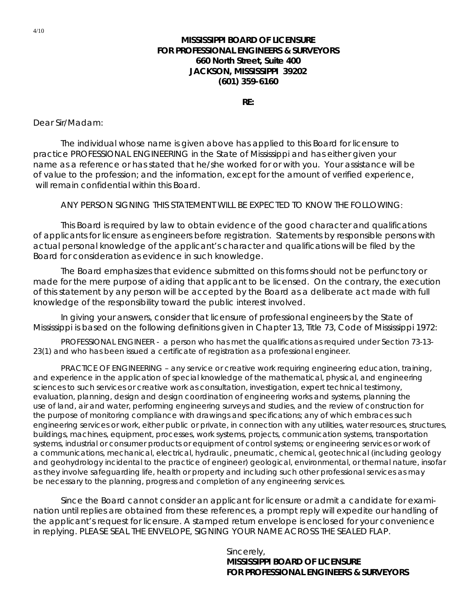## **MISSISSIPPI BOARD OF LICENSURE FOR PROFESSIONAL ENGINEERS & SURVEYORS 660 North Street, Suite 400 JACKSON, MISSISSIPPI 39202 (601) 359-6160**

**RE:** 

Dear Sir/Madam:

The individual whose name is given above has applied to this Board for licensure to practice PROFESSIONAL ENGINEERING in the State of Mississippi and has either given your name as a reference or has stated that he/she worked for or with you. Your assistance will be of value to the profession; and the information, except for the amount of verified experience, will remain confidential within this Board.

ANY PERSON SIGNING THIS STATEMENT WILL BE EXPECTED TO KNOW THE FOLLOWING:

 This Board is required by law to obtain evidence of the good character and qualifications of applicants for licensure as engineers before registration. Statements by responsible persons with actual personal knowledge of the applicant's character and qualifications will be filed by the Board for consideration as evidence in such knowledge.

 The Board emphasizes that evidence submitted on this forms should not be perfunctory or made for the mere purpose of aiding that applicant to be licensed. On the contrary, the execution of this statement by any person will be accepted by the Board as a deliberate act made with full knowledge of the responsibility toward the public interest involved.

 In giving your answers, consider that licensure of professional engineers by the State of Mississippi is based on the following definitions given in Chapter 13, Title 73, Code of Mississippi 1972:

 PROFESSIONAL ENGINEER - a person who has met the qualifications as required under Section 73-13- 23(1) and who has been issued a certificate of registration as a professional engineer.

 PRACTICE OF ENGINEERING – any service or creative work requiring engineering education, training, and experience in the application of special knowledge of the mathematical, physical, and engineering sciences to such services or creative work as consultation, investigation, expert technical testimony, evaluation, planning, design and design coordination of engineering works and systems, planning the use of land, air and water, performing engineering surveys and studies, and the review of construction for the purpose of monitoring compliance with drawings and specifications; any of which embraces such engineering services or work, either public or private, in connection with any utilities, water resources, structures, buildings, machines, equipment, processes, work systems, projects, communication systems, transportation systems, industrial or consumer products or equipment of control systems; or engineering services or work of a communications, mechanical, electrical, hydraulic, pneumatic, chemical, geotechnical (including geology and geohydrology incidental to the practice of engineer) geological, environmental, or thermal nature, insofar as they involve safeguarding life, health or property and including such other professional services as may be necessary to the planning, progress and completion of any engineering services.

 Since the Board cannot consider an applicant for licensure or admit a candidate for examination until replies are obtained from these references, a prompt reply will expedite our handling of the applicant's request for licensure. A stamped return envelope is enclosed for your convenience in replying. PLEASE SEAL THE ENVELOPE, SIGNING YOUR NAME ACROSS THE SEALED FLAP.

> Sincerely, **MISSISSIPPI BOARD OF LICENSURE FOR PROFESSIONAL ENGINEERS & SURVEYORS**